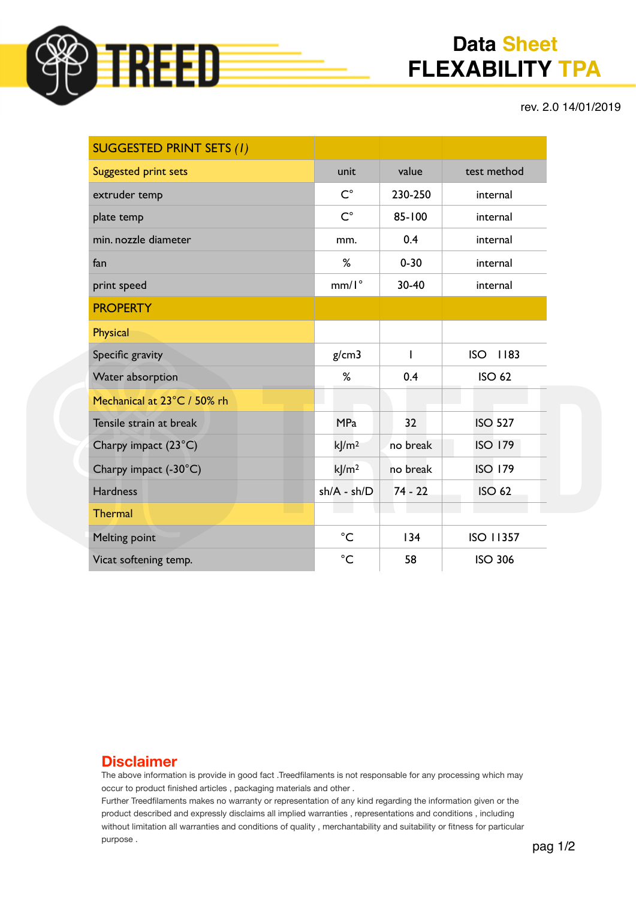

# **Data Sheet FLEXABILITY TPA**

rev. 2.0 14/01/2019

| <b>SUGGESTED PRINT SETS (1)</b> |                   |           |                    |
|---------------------------------|-------------------|-----------|--------------------|
| <b>Suggested print sets</b>     | unit              | value     | test method        |
| extruder temp                   | $C^{\circ}$       | 230-250   | internal           |
| plate temp                      | $C^{\circ}$       | 85-100    | internal           |
| min. nozzle diameter            | mm.               | 0.4       | internal           |
| fan                             | %                 | $0 - 30$  | internal           |
| print speed                     | $mm/I^{\circ}$    | 30-40     | internal           |
| <b>PROPERTY</b>                 |                   |           |                    |
| <b>Physical</b>                 |                   |           |                    |
| Specific gravity                | g/cm3             | I         | <b>ISO</b><br>1183 |
| Water absorption                | %                 | 0.4       | <b>ISO 62</b>      |
| Mechanical at 23°C / 50% rh     |                   |           |                    |
| Tensile strain at break         | <b>MPa</b>        | 32        | <b>ISO 527</b>     |
| Charpy impact (23°C)            | k/m <sup>2</sup>  | no break  | <b>ISO 179</b>     |
| Charpy impact (-30°C)           | kJ/m <sup>2</sup> | no break  | <b>ISO 179</b>     |
| <b>Hardness</b>                 | $sh/A - sh/D$     | $74 - 22$ | <b>ISO 62</b>      |
| <b>Thermal</b>                  |                   |           |                    |
| <b>Melting point</b>            | $^{\circ}C$       | 134       | <b>ISO 11357</b>   |
| Vicat softening temp.           | $^{\circ}C$       | 58        | <b>ISO 306</b>     |

#### **Disclaimer**

The above information is provide in good fact .Treedfilaments is not responsable for any processing which may occur to product finished articles , packaging materials and other .

Further Treedfilaments makes no warranty or representation of any kind regarding the information given or the product described and expressly disclaims all implied warranties , representations and conditions , including without limitation all warranties and conditions of quality , merchantability and suitability or fitness for particular purpose .